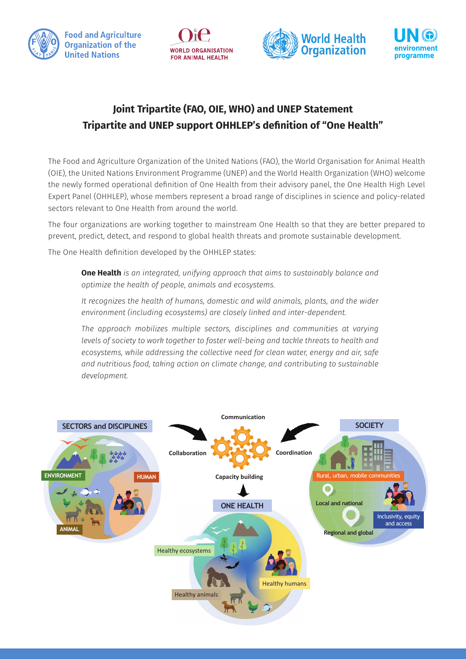







## **Joint Tripartite (FAO, OIE, WHO) and UNEP Statement Tripartite and UNEP support OHHLEP's definition of "One Health"**

The Food and Agriculture Organization of the United Nations (FAO), the World Organisation for Animal Health (OIE), the United Nations Environment Programme (UNEP) and the World Health Organization (WHO) welcome the newly formed operational definition of One Health from their advisory panel, the One Health High Level Expert Panel (OHHLEP), whose members represent a broad range of disciplines in science and policy-related sectors relevant to One Health from around the world.

The four organizations are working together to mainstream One Health so that they are better prepared to prevent, predict, detect, and respond to global health threats and promote sustainable development.

The One Health definition developed by the OHHLEP states:

**One Health** *is an integrated, unifying approach that aims to sustainably balance and optimize the health of people, animals and ecosystems.*

*It recognizes the health of humans, domestic and wild animals, plants, and the wider environment (including ecosystems) are closely linked and inter-dependent.*

*The approach mobilizes multiple sectors, disciplines and communities at varying levels of society to work together to foster well-being and tackle threats to health and ecosystems, while addressing the collective need for clean water, energy and air, safe and nutritious food, taking action on climate change, and contributing to sustainable development.*